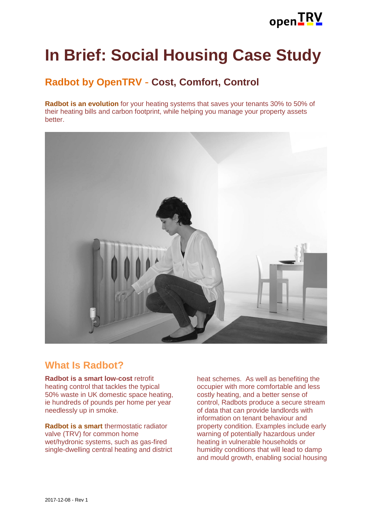

# **In Brief: Social Housing Case Study**

# **Radbot by OpenTRV - Cost, Comfort, Control**

**Radbot is an evolution** for your heating systems that saves your tenants 30% to 50% of their heating bills and carbon footprint, while helping you manage your property assets better.



### **What Is Radbot?**

**Radbot is a smart low-cost** retrofit heating control that tackles the typical 50% waste in UK domestic space heating, ie hundreds of pounds per home per year needlessly up in smoke.

**Radbot is a smart** thermostatic radiator valve (TRV) for common home wet/hydronic systems, such as gas-fired single-dwelling central heating and district heat schemes. As well as benefiting the occupier with more comfortable and less costly heating, and a better sense of control, Radbots produce a secure stream of data that can provide landlords with information on tenant behaviour and property condition. Examples include early warning of potentially hazardous under heating in vulnerable households or humidity conditions that will lead to damp and mould growth, enabling social housing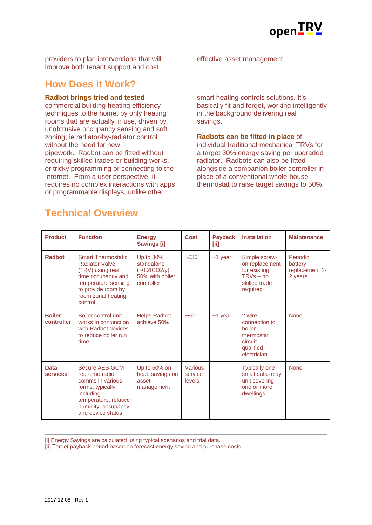

providers to plan interventions that will improve both tenant support and cost

### **How Does it Work?**

#### **Radbot brings tried and tested**

commercial building heating efficiency techniques to the home, by only heating rooms that are actually in use, driven by unobtrusive occupancy sensing and soft zoning, ie radiator-by-radiator control without the need for new pipework. Radbot can be fitted without requiring skilled trades or building works, or tricky programming or connecting to the Internet. From a user perspective, it requires no complex interactions with apps or programmable displays, unlike other

effective asset management.

smart heating controls solutions. It's basically fit and forget, working intelligently in the background delivering real savings.

**Radbots can be fitted in place** of individual traditional mechanical TRVs for a target 30% energy saving per upgraded radiator. Radbots can also be fitted alongside a companion boiler controller in place of a conventional whole-house thermostat to raise target savings to 50%.

| <b>Product</b>                 | <b>Function</b>                                                                                                                                                            | <b>Energy</b><br><b>Savings [i]</b>                                         | <b>Cost</b>                  | <b>Payback</b><br>[ii] | <b>Installation</b>                                                                         | <b>Maintenance</b>                                      |
|--------------------------------|----------------------------------------------------------------------------------------------------------------------------------------------------------------------------|-----------------------------------------------------------------------------|------------------------------|------------------------|---------------------------------------------------------------------------------------------|---------------------------------------------------------|
| Radbot                         | <b>Smart Thermostatic</b><br><b>Radiator Valve</b><br>(TRV) using real<br>time occupancy and<br>temperature sensing<br>to provide room by<br>room zonal heating<br>control | Up to 30%<br>standalone<br>$(-0.2tCO2/y),$<br>50% with bolier<br>controller | $-E30$                       | $~1$ year              | Simple screw-<br>on replacement<br>for existing<br>$TRVs - no$<br>skilled trade<br>required | <b>Periodic</b><br>battery<br>replacement 1-<br>2 years |
| <b>Boiler</b><br>controller    | Boiler control unit<br>works in conjunction<br>with Radbot devices<br>to reduce boiler run<br>time                                                                         | <b>Helps Radbot</b><br>achieve 50%                                          | $-E60$                       | $~1$ year              | 2 wire<br>connection to<br>boiler<br>thermostat<br>$circuit -$<br>qualified<br>electrician. | <b>None</b>                                             |
| <b>Data</b><br><b>services</b> | Secure AES-GCM<br>real-time radio<br>comms in various<br>forms, typically<br>including<br>temperature, relative<br>humidity, occupancy<br>and device status                | Up to 60% on<br>heat, savings on<br>asset<br>management                     | Various<br>service<br>levels |                        | <b>Typically one</b><br>small data relay<br>unit covering<br>one or more<br>dwellings       | <b>None</b>                                             |

## **Technical Overview**

[i] Energy Savings are calculated using typical scenarios and trial data.

[ii] Target payback period based on forecast energy saving and purchase costs.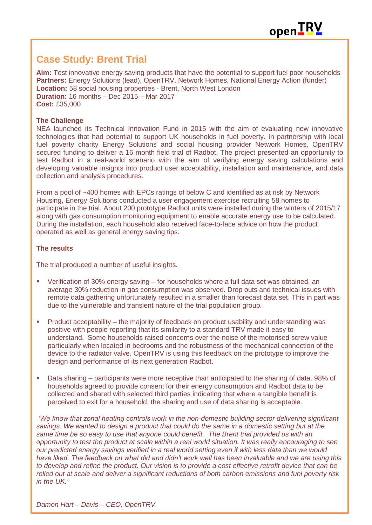

### **Case Study: Brent Trial**

**Aim:** Test innovative energy saving products that have the potential to support fuel poor households **Partners:** Energy Solutions (lead), OpenTRV, Network Homes, National Energy Action (funder) **Location:** 58 social housing properties - Brent, North West London **Duration:** 16 months – Dec 2015 – Mar 2017 **Cost:** £35,000

#### **The Challenge**

NEA launched its Technical Innovation Fund in 2015 with the aim of evaluating new innovative technologies that had potential to support UK households in fuel poverty. In partnership with local fuel poverty charity Energy Solutions and social housing provider Network Homes, OpenTRV secured funding to deliver a 16 month field trial of Radbot. The project presented an opportunity to test Radbot in a real-world scenario with the aim of verifying energy saving calculations and developing valuable insights into product user acceptability, installation and maintenance, and data collection and analysis procedures.

From a pool of ~400 homes with EPCs ratings of below C and identified as at risk by Network Housing, Energy Solutions conducted a user engagement exercise recruiting 58 homes to participate in the trial. About 200 prototype Radbot units were installed during the winters of 2015/17 along with gas consumption monitoring equipment to enable accurate energy use to be calculated. During the installation, each household also received face-to-face advice on how the product operated as well as general energy saving tips.

#### **The results**

The trial produced a number of useful insights.

- Verification of 30% energy saving for households where a full data set was obtained, an average 30% reduction in gas consumption was observed. Drop outs and technical issues with remote data gathering unfortunately resulted in a smaller than forecast data set. This in part was due to the vulnerable and transient nature of the trial population group.
- **Product acceptability the majority of feedback on product usability and understanding was** positive with people reporting that its similarity to a standard TRV made it easy to understand. Some households raised concerns over the noise of the motorised screw value particularly when located in bedrooms and the robustness of the mechanical connection of the device to the radiator valve. OpenTRV is using this feedback on the prototype to improve the design and performance of its next generation Radbot.
- Data sharing participants were more receptive than anticipated to the sharing of data. 98% of households agreed to provide consent for their energy consumption and Radbot data to be collected and shared with selected third parties indicating that where a tangible benefit is perceived to exit for a household, the sharing and use of data sharing is acceptable.

*'We know that zonal heating controls work in the non-domestic building sector delivering significant savings. We wanted to design a product that could do the same in a domestic setting but at the same time be so easy to use that anyone could benefit. The Brent trial provided us with an opportunity to test the product at scale within a real world situation. It was really encouraging to see our predicted energy savings verified in a real world setting even if with less data than we would have liked. The feedback on what did and didn't work well has been invaluable and we are using this to develop and refine the product. Our vision is to provide a cost effective retrofit device that can be rolled out at scale and deliver a significant reductions of both carbon emissions and fuel poverty risk in the UK.'*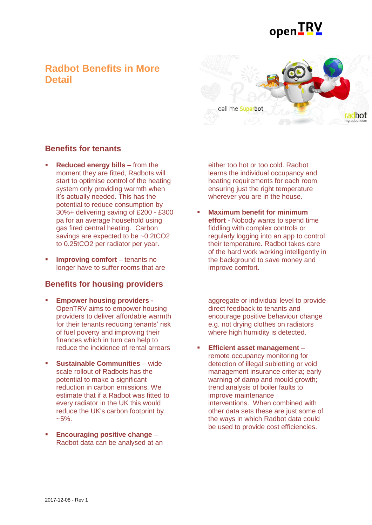

### **Radbot Benefits in More Detail**



### **Benefits for tenants**

- **Reduced energy bills –** from the moment they are fitted, Radbots will start to optimise control of the heating system only providing warmth when it's actually needed. This has the potential to reduce consumption by 30%+ delivering saving of £200 - £300 pa for an average household using gas fired central heating. Carbon savings are expected to be ~0.2tCO2 to 0.25tCO2 per radiator per year.
- **Improving comfort** tenants no longer have to suffer rooms that are

### **Benefits for housing providers**

- **Empower housing providers -** OpenTRV aims to empower housing providers to deliver affordable warmth for their tenants reducing tenants' risk of fuel poverty and improving their finances which in turn can help to reduce the incidence of rental arrears
- **Sustainable Communities** wide scale rollout of Radbots has the potential to make a significant reduction in carbon emissions. We estimate that if a Radbot was fitted to every radiator in the UK this would reduce the UK's carbon footprint by  $~5\%$ .
- **Encouraging positive change** Radbot data can be analysed at an

either too hot or too cold. Radbot learns the individual occupancy and heating requirements for each room ensuring just the right temperature wherever you are in the house.

 **Maximum benefit for minimum effort** - Nobody wants to spend time fiddling with complex controls or regularly logging into an app to control their temperature. Radbot takes care of the hard work working intelligently in the background to save money and improve comfort.

aggregate or individual level to provide direct feedback to tenants and encourage positive behaviour change e.g. not drying clothes on radiators where high humidity is detected.

 **Efficient asset management** – remote occupancy monitoring for detection of illegal subletting or void management insurance criteria; early warning of damp and mould growth; trend analysis of boiler faults to improve maintenance interventions. When combined with other data sets these are just some of the ways in which Radbot data could be used to provide cost efficiencies.